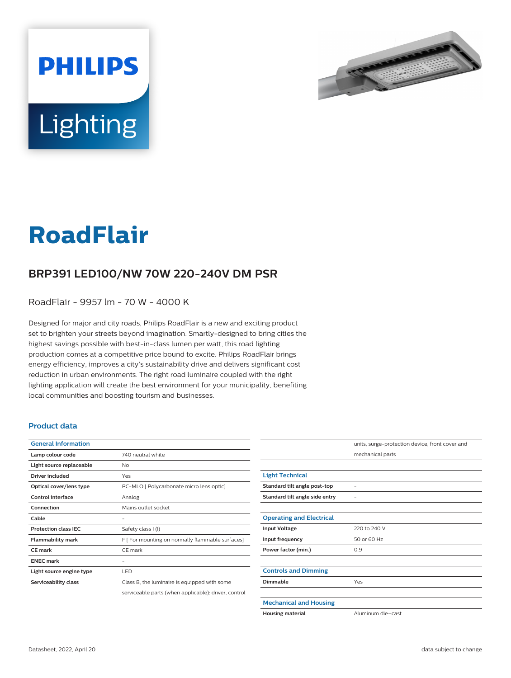



# **RoadFlair**

## **BRP391 LED100/NW 70W 220-240V DM PSR**

RoadFlair - 9957 lm - 70 W - 4000 K

Designed for major and city roads, Philips RoadFlair is a new and exciting product set to brighten your streets beyond imagination. Smartly-designed to bring cities the highest savings possible with best-in-class lumen per watt, this road lighting production comes at a competitive price bound to excite. Philips RoadFlair brings energy efficiency, improves a city's sustainability drive and delivers significant cost reduction in urban environments. The right road luminaire coupled with the right lighting application will create the best environment for your municipality, benefiting local communities and boosting tourism and businesses.

#### **Product data**

| <b>General Information</b>  |                                                      |
|-----------------------------|------------------------------------------------------|
| Lamp colour code            | 740 neutral white                                    |
| Light source replaceable    | No                                                   |
| Driver included             | Yes                                                  |
| Optical cover/lens type     | PC-MLO [ Polycarbonate micro lens optic]             |
| Control interface           | Analog                                               |
| Connection                  | Mains outlet socket                                  |
| Cable                       |                                                      |
| <b>Protection class IEC</b> | Safety class I (I)                                   |
| <b>Flammability mark</b>    | F [ For mounting on normally flammable surfaces]     |
| <b>CE</b> mark              | CE mark                                              |
| <b>ENEC mark</b>            |                                                      |
| Light source engine type    | LED                                                  |
| Serviceability class        | Class B, the luminaire is equipped with some         |
|                             | serviceable parts (when applicable): driver, control |

|                                 | units, surge-protection device, front cover and |
|---------------------------------|-------------------------------------------------|
|                                 | mechanical parts                                |
|                                 |                                                 |
| <b>Light Technical</b>          |                                                 |
| Standard tilt angle post-top    |                                                 |
| Standard tilt angle side entry  |                                                 |
|                                 |                                                 |
| <b>Operating and Electrical</b> |                                                 |
| <b>Input Voltage</b>            | 220 to 240 V                                    |
| Input frequency                 | 50 or 60 Hz                                     |
| Power factor (min.)             | 0.9                                             |
|                                 |                                                 |
| <b>Controls and Dimming</b>     |                                                 |
| <b>Dimmable</b>                 | Yes                                             |
|                                 |                                                 |
| <b>Mechanical and Housing</b>   |                                                 |
| <b>Housing material</b>         | Aluminum die-cast                               |
|                                 |                                                 |